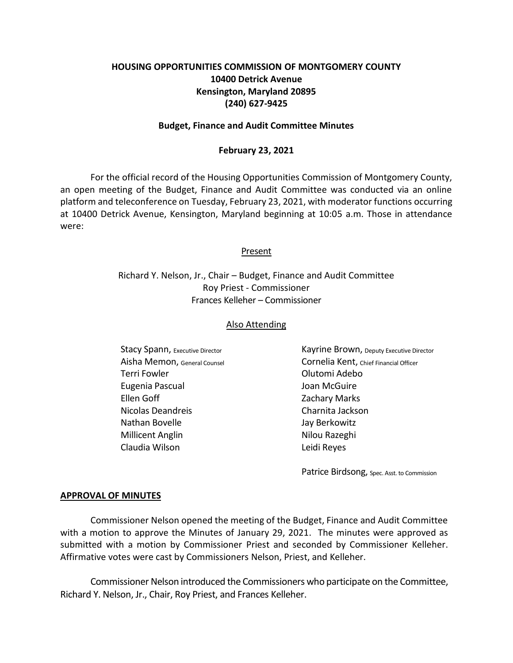# **HOUSING OPPORTUNITIES COMMISSION OF MONTGOMERY COUNTY 10400 Detrick Avenue Kensington, Maryland 20895 (240) 627-9425**

#### **Budget, Finance and Audit Committee Minutes**

#### **February 23, 2021**

For the official record of the Housing Opportunities Commission of Montgomery County, an open meeting of the Budget, Finance and Audit Committee was conducted via an online platform and teleconference on Tuesday, February 23, 2021, with moderator functions occurring at 10400 Detrick Avenue, Kensington, Maryland beginning at 10:05 a.m. Those in attendance were:

#### Present

Richard Y. Nelson, Jr., Chair – Budget, Finance and Audit Committee Roy Priest - Commissioner Frances Kelleher – Commissioner

#### Also Attending

Terri Fowler **Contract Contract Contract Contract Contract Contract Contract Contract Contract Contract Contract Contract Contract Contract Contract Contract Contract Contract Contract Contract Contract Contract Contract C** Eugenia Pascual **International Communist Communist Communist Communist Communist Communist Communist Communist Communist Communist Communist Communist Communist Communist Communist Communist Communist Communist Communist C** Ellen Goff **Zachary Marks** Nicolas Deandreis **Nicolas Deandreis** Charnita Jackson Nathan Bovelle Jay Berkowitz Millicent Anglin Nilou Razeghi Claudia Wilson Leidi Reyes

Stacy Spann, Executive Director **Example 20 Stack Cayrine Brown**, Deputy Executive Director Aisha Memon, General Counsel Cornelia Kent, Chief Financial Officer

Patrice Birdsong, Spec. Asst. to Commission

#### **APPROVAL OF MINUTES**

Commissioner Nelson opened the meeting of the Budget, Finance and Audit Committee with a motion to approve the Minutes of January 29, 2021. The minutes were approved as submitted with a motion by Commissioner Priest and seconded by Commissioner Kelleher. Affirmative votes were cast by Commissioners Nelson, Priest, and Kelleher.

Commissioner Nelson introduced the Commissioners who participate on the Committee, Richard Y. Nelson, Jr., Chair, Roy Priest, and Frances Kelleher.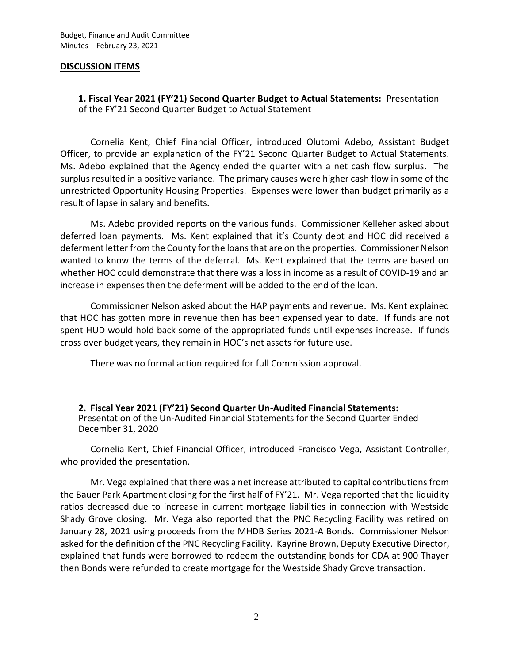### **DISCUSSION ITEMS**

**1. Fiscal Year 2021 (FY'21) Second Quarter Budget to Actual Statements:** Presentation of the FY'21 Second Quarter Budget to Actual Statement

Cornelia Kent, Chief Financial Officer, introduced Olutomi Adebo, Assistant Budget Officer, to provide an explanation of the FY'21 Second Quarter Budget to Actual Statements. Ms. Adebo explained that the Agency ended the quarter with a net cash flow surplus. The surplus resulted in a positive variance. The primary causes were higher cash flow in some of the unrestricted Opportunity Housing Properties. Expenses were lower than budget primarily as a result of lapse in salary and benefits.

Ms. Adebo provided reports on the various funds. Commissioner Kelleher asked about deferred loan payments. Ms. Kent explained that it's County debt and HOC did received a deferment letter from the County for the loans that are on the properties. Commissioner Nelson wanted to know the terms of the deferral. Ms. Kent explained that the terms are based on whether HOC could demonstrate that there was a loss in income as a result of COVID-19 and an increase in expenses then the deferment will be added to the end of the loan.

Commissioner Nelson asked about the HAP payments and revenue. Ms. Kent explained that HOC has gotten more in revenue then has been expensed year to date. If funds are not spent HUD would hold back some of the appropriated funds until expenses increase. If funds cross over budget years, they remain in HOC's net assets for future use.

There was no formal action required for full Commission approval.

**2. Fiscal Year 2021 (FY'21) Second Quarter Un-Audited Financial Statements:** Presentation of the Un-Audited Financial Statements for the Second Quarter Ended December 31, 2020

Cornelia Kent, Chief Financial Officer, introduced Francisco Vega, Assistant Controller, who provided the presentation.

Mr. Vega explained that there was a net increase attributed to capital contributions from the Bauer Park Apartment closing for the first half of FY'21. Mr. Vega reported that the liquidity ratios decreased due to increase in current mortgage liabilities in connection with Westside Shady Grove closing. Mr. Vega also reported that the PNC Recycling Facility was retired on January 28, 2021 using proceeds from the MHDB Series 2021-A Bonds. Commissioner Nelson asked for the definition of the PNC Recycling Facility. Kayrine Brown, Deputy Executive Director, explained that funds were borrowed to redeem the outstanding bonds for CDA at 900 Thayer then Bonds were refunded to create mortgage for the Westside Shady Grove transaction.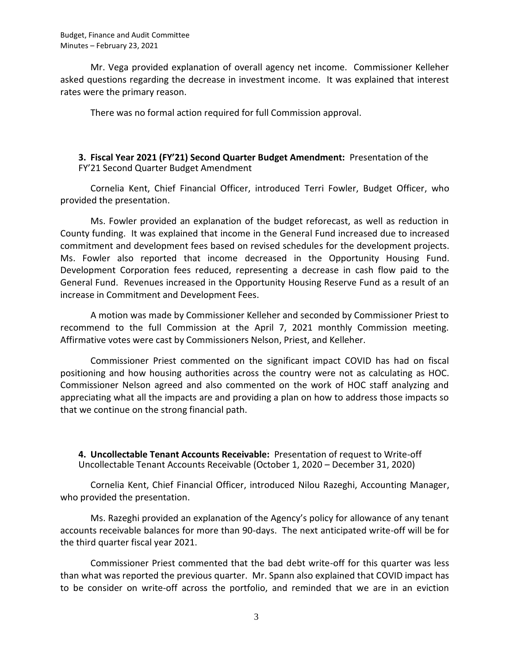Mr. Vega provided explanation of overall agency net income. Commissioner Kelleher asked questions regarding the decrease in investment income. It was explained that interest rates were the primary reason.

There was no formal action required for full Commission approval.

## **3. Fiscal Year 2021 (FY'21) Second Quarter Budget Amendment:** Presentation of the FY'21 Second Quarter Budget Amendment

Cornelia Kent, Chief Financial Officer, introduced Terri Fowler, Budget Officer, who provided the presentation.

Ms. Fowler provided an explanation of the budget reforecast, as well as reduction in County funding. It was explained that income in the General Fund increased due to increased commitment and development fees based on revised schedules for the development projects. Ms. Fowler also reported that income decreased in the Opportunity Housing Fund. Development Corporation fees reduced, representing a decrease in cash flow paid to the General Fund. Revenues increased in the Opportunity Housing Reserve Fund as a result of an increase in Commitment and Development Fees.

A motion was made by Commissioner Kelleher and seconded by Commissioner Priest to recommend to the full Commission at the April 7, 2021 monthly Commission meeting. Affirmative votes were cast by Commissioners Nelson, Priest, and Kelleher.

Commissioner Priest commented on the significant impact COVID has had on fiscal positioning and how housing authorities across the country were not as calculating as HOC. Commissioner Nelson agreed and also commented on the work of HOC staff analyzing and appreciating what all the impacts are and providing a plan on how to address those impacts so that we continue on the strong financial path.

**4. Uncollectable Tenant Accounts Receivable:** Presentation of request to Write-off Uncollectable Tenant Accounts Receivable (October 1, 2020 – December 31, 2020)

Cornelia Kent, Chief Financial Officer, introduced Nilou Razeghi, Accounting Manager, who provided the presentation.

Ms. Razeghi provided an explanation of the Agency's policy for allowance of any tenant accounts receivable balances for more than 90-days. The next anticipated write-off will be for the third quarter fiscal year 2021.

Commissioner Priest commented that the bad debt write-off for this quarter was less than what was reported the previous quarter. Mr. Spann also explained that COVID impact has to be consider on write-off across the portfolio, and reminded that we are in an eviction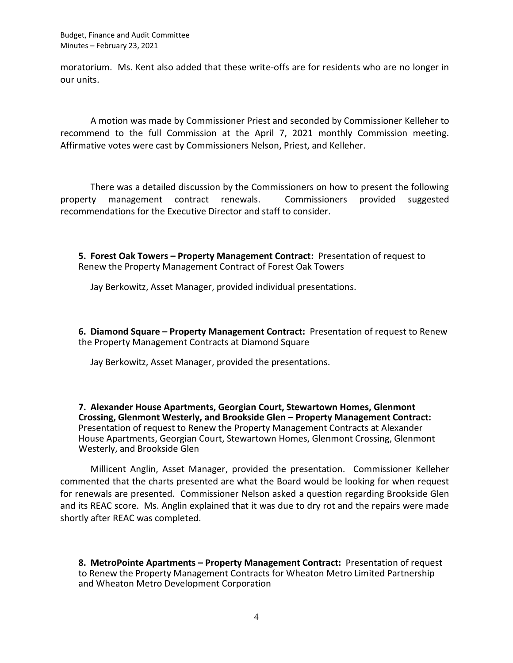Budget, Finance and Audit Committee Minutes – February 23, 2021

moratorium. Ms. Kent also added that these write-offs are for residents who are no longer in our units.

A motion was made by Commissioner Priest and seconded by Commissioner Kelleher to recommend to the full Commission at the April 7, 2021 monthly Commission meeting. Affirmative votes were cast by Commissioners Nelson, Priest, and Kelleher.

There was a detailed discussion by the Commissioners on how to present the following property management contract renewals. Commissioners provided suggested recommendations for the Executive Director and staff to consider.

**5. Forest Oak Towers – Property Management Contract:** Presentation of request to Renew the Property Management Contract of Forest Oak Towers

Jay Berkowitz, Asset Manager, provided individual presentations.

**6. Diamond Square – Property Management Contract:** Presentation of request to Renew the Property Management Contracts at Diamond Square

Jay Berkowitz, Asset Manager, provided the presentations.

**7. Alexander House Apartments, Georgian Court, Stewartown Homes, Glenmont Crossing, Glenmont Westerly, and Brookside Glen – Property Management Contract:** Presentation of request to Renew the Property Management Contracts at Alexander House Apartments, Georgian Court, Stewartown Homes, Glenmont Crossing, Glenmont Westerly, and Brookside Glen

Millicent Anglin, Asset Manager, provided the presentation. Commissioner Kelleher commented that the charts presented are what the Board would be looking for when request for renewals are presented. Commissioner Nelson asked a question regarding Brookside Glen and its REAC score. Ms. Anglin explained that it was due to dry rot and the repairs were made shortly after REAC was completed.

**8. MetroPointe Apartments – Property Management Contract:** Presentation of request to Renew the Property Management Contracts for Wheaton Metro Limited Partnership and Wheaton Metro Development Corporation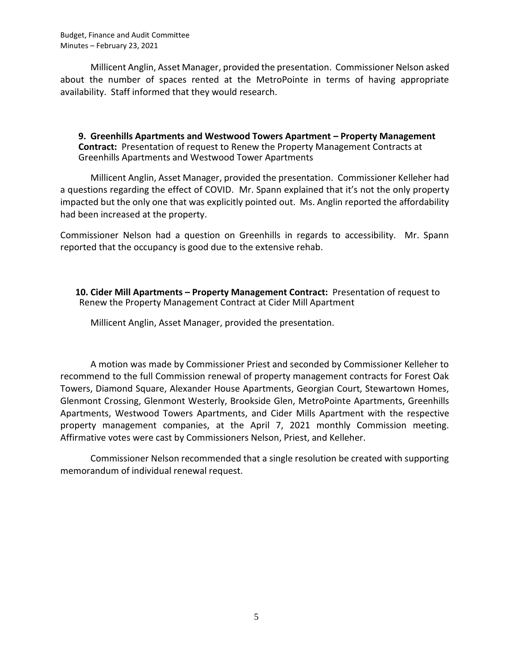Budget, Finance and Audit Committee Minutes – February 23, 2021

Millicent Anglin, Asset Manager, provided the presentation. Commissioner Nelson asked about the number of spaces rented at the MetroPointe in terms of having appropriate availability. Staff informed that they would research.

**9. Greenhills Apartments and Westwood Towers Apartment – Property Management Contract:** Presentation of request to Renew the Property Management Contracts at Greenhills Apartments and Westwood Tower Apartments

Millicent Anglin, Asset Manager, provided the presentation. Commissioner Kelleher had a questions regarding the effect of COVID. Mr. Spann explained that it's not the only property impacted but the only one that was explicitly pointed out. Ms. Anglin reported the affordability had been increased at the property.

Commissioner Nelson had a question on Greenhills in regards to accessibility. Mr. Spann reported that the occupancy is good due to the extensive rehab.

**10. Cider Mill Apartments – Property Management Contract:** Presentation of request to Renew the Property Management Contract at Cider Mill Apartment

Millicent Anglin, Asset Manager, provided the presentation.

A motion was made by Commissioner Priest and seconded by Commissioner Kelleher to recommend to the full Commission renewal of property management contracts for Forest Oak Towers, Diamond Square, Alexander House Apartments, Georgian Court, Stewartown Homes, Glenmont Crossing, Glenmont Westerly, Brookside Glen, MetroPointe Apartments, Greenhills Apartments, Westwood Towers Apartments, and Cider Mills Apartment with the respective property management companies, at the April 7, 2021 monthly Commission meeting. Affirmative votes were cast by Commissioners Nelson, Priest, and Kelleher.

Commissioner Nelson recommended that a single resolution be created with supporting memorandum of individual renewal request.